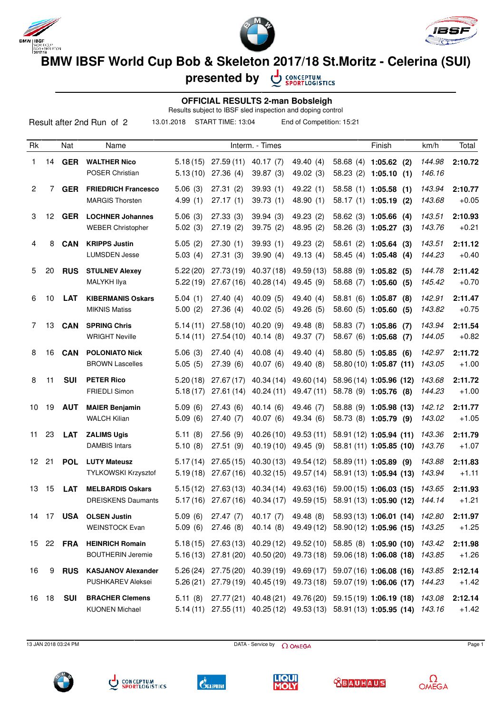





**BMW IBSF World Cup Bob & Skeleton 2017/18 St.Moritz - Celerina (SUI)**

**presented by**

CONCEPTUM<br>SPORTLOGISTICS

## **OFFICIAL RESULTS 2-man Bobsleigh**

|                |                 |            |                            |                 |                   |            | Results subject to IBSF sled inspection and doping control |                   |                          |        |         |
|----------------|-----------------|------------|----------------------------|-----------------|-------------------|------------|------------------------------------------------------------|-------------------|--------------------------|--------|---------|
|                |                 |            | Result after 2nd Run of 2  | 13.01.2018      | START TIME: 13:04 |            | End of Competition: 15:21                                  |                   |                          |        |         |
| Rk             |                 | Nat        | Name                       | Interm. - Times |                   |            |                                                            |                   | Finish                   | km/h   | Total   |
| 1              | 14              | <b>GER</b> | <b>WALTHER Nico</b>        | 5.18(15)        | 27.59(11)         | 40.17(7)   | 49.40 (4)                                                  |                   | $58.68(4)$ 1:05.62 (2)   | 144.98 | 2:10.72 |
|                |                 |            | POSER Christian            | 5.13(10)        | 27.36(4)          | 39.87(3)   | 49.02 (3)                                                  |                   | $58.23(2)$ 1:05.10 (1)   | 146.16 |         |
| $\overline{2}$ | 7               | <b>GER</b> | <b>FRIEDRICH Francesco</b> | 5.06(3)         | 27.31(2)          | 39.93(1)   | 49.22(1)                                                   |                   | 58.58 (1) 1:05.58 (1)    | 143.94 | 2:10.77 |
|                |                 |            | <b>MARGIS Thorsten</b>     | 4.99(1)         | 27.17(1)          | 39.73(1)   | 48.90(1)                                                   |                   | 58.17 (1) 1:05.19<br>(2) | 143.68 | $+0.05$ |
| 3              | 12 <sup>2</sup> | <b>GER</b> | <b>LOCHNER Johannes</b>    | 5.06(3)         | 27.33(3)          | 39.94(3)   | 49.23 (2)                                                  |                   | 58.62 (3) 1:05.66 (4)    | 143.51 | 2:10.93 |
|                |                 |            | <b>WEBER Christopher</b>   | 5.02(3)         | 27.19(2)          | 39.75(2)   | 48.95(2)                                                   |                   | 58.26 (3) 1:05.27 (3)    | 143.76 | $+0.21$ |
| 4              | 8               | <b>CAN</b> | <b>KRIPPS Justin</b>       | 5.05(2)         | 27.30(1)          | 39.93(1)   | 49.23 (2)                                                  |                   | $58.61(2)$ 1:05.64 (3)   | 143.51 | 2:11.12 |
|                |                 |            | <b>LUMSDEN Jesse</b>       | 5.03(4)         | 27.31(3)          | 39.90(4)   | 49.13 (4)                                                  |                   | 58.45 (4) 1:05.48 (4)    | 144.23 | $+0.40$ |
| 5              | 20              | <b>RUS</b> | <b>STULNEV Alexev</b>      | 5.22(20)        | 27.73(19)         | 40.37(18)  | 49.59 (13)                                                 |                   | 58.88 (9) 1:05.82 (5)    | 144.78 | 2:11.42 |
|                |                 |            | <b>MALYKH Ilya</b>         | 5.22(19)        | 27.67(16)         | 40.28(14)  | 49.45 (9)                                                  | 58.68 (7) 1:05.60 | (5)                      | 145.42 | $+0.70$ |
| 6              | 10              | <b>LAT</b> | <b>KIBERMANIS Oskars</b>   | 5.04(1)         | 27.40(4)          | 40.09(5)   | 49.40 (4)                                                  |                   | 58.81 (6) 1:05.87 (8)    | 142.91 | 2:11.47 |
|                |                 |            | <b>MIKNIS Matiss</b>       | 5.00(2)         | 27.36(4)          | 40.02(5)   | 49.26 (5)                                                  | 58.60 (5) 1:05.60 | (5)                      | 143.82 | $+0.75$ |
| 7              | 13              | <b>CAN</b> | <b>SPRING Chris</b>        | 5.14(11)        | 27.58(10)         | 40.20(9)   | 49.48 (8)                                                  |                   | 58.83 (7) 1:05.86 (7)    | 143.94 | 2:11.54 |
|                |                 |            | <b>WRIGHT Neville</b>      | 5.14(11)        | 27.54(10)         | 40.14(8)   | 49.37 (7)                                                  | 58.67 (6) 1:05.68 | (7)                      | 144.05 | $+0.82$ |
| 8              | 16              | <b>CAN</b> | <b>POLONIATO Nick</b>      | 5.06(3)         | 27.40(4)          | 40.08(4)   | 49.40 (4)                                                  |                   | 58.80 (5) 1:05.85 (6)    | 142.97 | 2:11.72 |
|                |                 |            | <b>BROWN Lascelles</b>     | 5.05(5)         | 27.39(6)          | 40.07(6)   | 49.40 (8)                                                  |                   | 58.80 (10) 1:05.87 (11)  | 143.05 | $+1.00$ |
| 8              | 11              | <b>SUI</b> | <b>PETER Rico</b>          | 5.20(18)        | 27.67(17)         | 40.34 (14) | 49.60 (14)                                                 |                   | 58.96 (14) 1:05.96 (12)  | 143.68 | 2:11.72 |

| 10              | 19 | AUT        | <b>MAIER Benjamin</b><br><b>WALCH Kilian</b>          | 5.09(6)<br>5.09(6) | 27.43(6)<br>27.40 (7)                           | 40.14(6)<br>40.07 (6)  | 49.46 (7)<br>49.34 (6)                        | 58.88 (9) 1:05.98 (13)<br>58.73 (8) 1:05.79 (9)                                                                            | 142.12<br>143.02 | 2:11.77<br>$+1.05$ |
|-----------------|----|------------|-------------------------------------------------------|--------------------|-------------------------------------------------|------------------------|-----------------------------------------------|----------------------------------------------------------------------------------------------------------------------------|------------------|--------------------|
| 11              | 23 | LAT        | <b>ZALIMS Ugis</b><br><b>DAMBIS Intars</b>            | 5.11(8)<br>5.10(8) | 27.56(9)<br>27.51(9)                            |                        | 40.26 (10) 49.53 (11)<br>40.19 (10) 49.45 (9) | 58.91 (12) 1:05.94 (11)<br>58.81 (11) 1:05.85 (10) 143.76                                                                  | 143.36           | 2:11.79<br>$+1.07$ |
| 12              | 21 | <b>POL</b> | <b>LUTY Mateusz</b><br>TYLKOWSKI Krzysztof            |                    | $5.17(14)$ 27.65 (15)<br>$5.19(18)$ 27.67(16)   |                        |                                               | 40.30 (13) 49.54 (12) 58.89 (11) 1:05.89 (9)<br>40.32 (15) 49.57 (14) 58.91 (13) 1:05.94 (13)                              | 143.88<br>143.94 | 2:11.83<br>$+1.11$ |
| 13              | 15 | <b>LAT</b> | <b>MELBARDIS Oskars</b><br><b>DREISKENS Daumants</b>  |                    | $5.15(12)$ 27.63(13)<br>$5.17(16)$ 27.67(16)    | 40.34 (17)             |                                               | 40.34 (14) 49.63 (16) 59.00 (15) 1:06.03 (15)<br>49.59 (15) 58.91 (13) 1:05.90 (12)                                        | 143.65<br>144.14 | 2:11.93<br>$+1.21$ |
| 14              | 17 | <b>USA</b> | <b>OLSEN Justin</b><br><b>WEINSTOCK Evan</b>          | 5.09(6)<br>5.09(6) | 27.47(7)<br>27.46 (8)                           | 40.17 (7)<br>40.14 (8) | 49.48 (8)<br>49.49 (12)                       | 58.93 (13) 1:06.01 (14)<br>58.90 (12) 1:05.96 (15)                                                                         | 142.80<br>143.25 | 2:11.97<br>$+1.25$ |
| 15 <sup>1</sup> | 22 | <b>FRA</b> | <b>HEINRICH Romain</b><br><b>BOUTHERIN Jeremie</b>    |                    | $5.18(15)$ $27.63(13)$<br>$5.16(13)$ 27.81 (20) | 40.29 (12)             | 40.50 (20) 49.73 (18)                         | 49.52 (10) 58.85 (8) 1:05.90 (10)<br>$59.06(18)$ 1:06.08 (18)                                                              | 143.42<br>143.85 | 2:11.98<br>$+1.26$ |
| 16              | 9  | <b>RUS</b> | <b>KASJANOV Alexander</b><br><b>PUSHKAREV Aleksei</b> | 5.26(24)           | 27.75 (20)                                      |                        |                                               | 40.39 (19) 49.69 (17) 59.07 (16) 1:06.08 (16)<br>5.26 (21) 27.79 (19) 40.45 (19) 49.73 (18) 59.07 (19) 1:06.06 (17) 144.23 | 143.85           | 2:12.14<br>$+1.42$ |
| 16              | 18 | <b>SUI</b> | <b>BRACHER Clemens</b>                                | 5.11(8)            |                                                 |                        |                                               | 27.77 (21) 40.48 (21) 49.76 (20) 59.15 (19) 1:06.19 (18) 143.08                                                            |                  | 2:12.14            |

13 JAN 2018 03:24 PM Page 1

KUONEN Michael 5.14 (11) 27.55 (11) 40.25 (12) 49.53 (13) 58.91 (13) **1:05.95 (14)** 143.16 +1.42

FRIEDLI Simon 5.18 (17) 27.61 (14) 40.24 (11) 49.47 (11) 58.78 (9) **1:05.76 (8)** 144.23 +1.00